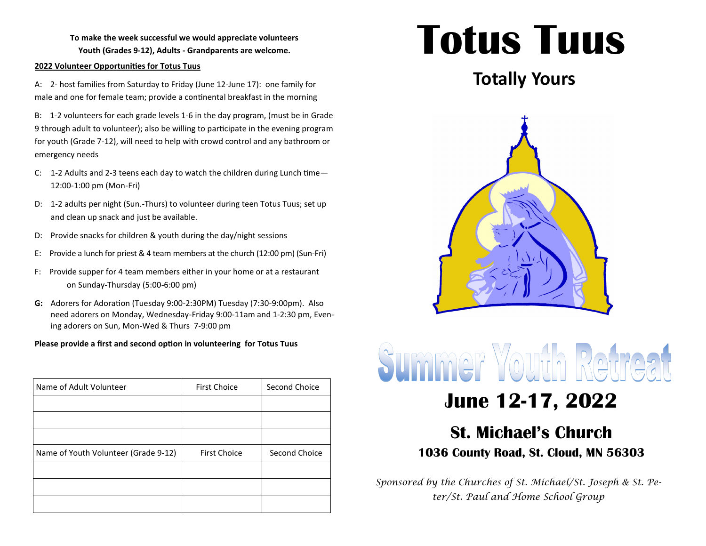**To make the week successful we would appreciate volunteers Youth (Grades 9-12), Adults - Grandparents are welcome.** 

#### **2022 Volunteer Opportunities for Totus Tuus**

A: 2- host families from Saturday to Friday (June 12-June 17): one family for male and one for female team; provide a continental breakfast in the morning

B: 1-2 volunteers for each grade levels 1-6 in the day program, (must be in Grade 9 through adult to volunteer); also be willing to participate in the evening program for youth (Grade 7-12), will need to help with crowd control and any bathroom or emergency needs

- C: 1-2 Adults and 2-3 teens each day to watch the children during Lunch time— 12:00-1:00 pm (Mon-Fri)
- D: 1-2 adults per night (Sun.-Thurs) to volunteer during teen Totus Tuus; set up and clean up snack and just be available.
- D: Provide snacks for children & youth during the day/night sessions
- E: Provide a lunch for priest & 4 team members at the church (12:00 pm) (Sun-Fri)
- F: Provide supper for 4 team members either in your home or at a restaurant on Sunday-Thursday (5:00-6:00 pm)
- **G:** Adorers for Adoration (Tuesday 9:00-2:30PM) Tuesday (7:30-9:00pm). Also need adorers on Monday, Wednesday-Friday 9:00-11am and 1-2:30 pm, Evening adorers on Sun, Mon-Wed & Thurs 7-9:00 pm

### **Please provide a first and second option in volunteering for Totus Tuus**

| Name of Adult Volunteer              | <b>First Choice</b> | Second Choice |
|--------------------------------------|---------------------|---------------|
|                                      |                     |               |
|                                      |                     |               |
|                                      |                     |               |
| Name of Youth Volunteer (Grade 9-12) | <b>First Choice</b> | Second Choice |
|                                      |                     |               |
|                                      |                     |               |
|                                      |                     |               |

## **Totus Tuus**

## **Totally Yours**



# Summer Youth Retreat

## **June 12-17, 2022**

### **St. Michael's Church 1036 County Road, St. Cloud, MN 56303**

*Sponsored by the Churches of St. Michael/St. Joseph & St. Peter/St. Paul and Home School Group*